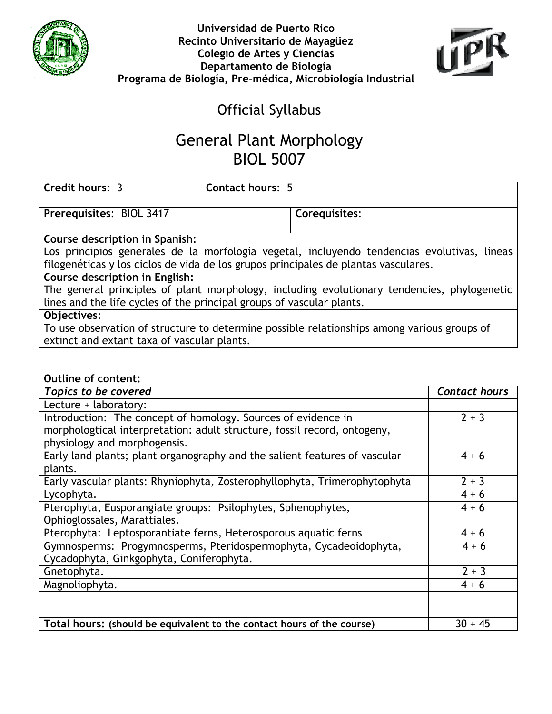



## Official Syllabus

## General Plant Morphology BIOL 5007

| Credit hours: 3                                                                             | Contact hours: 5 |               |  |
|---------------------------------------------------------------------------------------------|------------------|---------------|--|
| Prerequisites: BIOL 3417                                                                    |                  | Corequisites: |  |
|                                                                                             |                  |               |  |
| Course description in Spanish:                                                              |                  |               |  |
| Los principios generales de la morfología vegetal, incluyendo tendencias evolutivas, líneas |                  |               |  |
| filogenéticas y los ciclos de vida de los grupos principales de plantas vasculares.         |                  |               |  |
| Course description in English:                                                              |                  |               |  |
| The general principles of plant morphology, including evolutionary tendencies, phylogenetic |                  |               |  |
| lines and the life cycles of the principal groups of vascular plants.                       |                  |               |  |
| Objectives:                                                                                 |                  |               |  |

To use observation of structure to determine possible relationships among various groups of extinct and extant taxa of vascular plants.

## Outline of content:

| Topics to be covered                                                       | <b>Contact hours</b> |
|----------------------------------------------------------------------------|----------------------|
| Lecture + laboratory:                                                      |                      |
| Introduction: The concept of homology. Sources of evidence in              | $2 + 3$              |
| morphologtical interpretation: adult structure, fossil record, ontogeny,   |                      |
| physiology and morphogensis.                                               |                      |
| Early land plants; plant organography and the salient features of vascular | $4 + 6$              |
| plants.                                                                    |                      |
| Early vascular plants: Rhyniophyta, Zosterophyllophyta, Trimerophytophyta  | $2 + 3$              |
| Lycophyta.                                                                 | $4 + 6$              |
| Pterophyta, Eusporangiate groups: Psilophytes, Sphenophytes,               | $4 + 6$              |
| Ophioglossales, Marattiales.                                               |                      |
| Pterophyta: Leptosporantiate ferns, Heterosporous aquatic ferns            | $4 + 6$              |
| Gymnosperms: Progymnosperms, Pteridospermophyta, Cycadeoidophyta,          | $4 + 6$              |
| Cycadophyta, Ginkgophyta, Coniferophyta.                                   |                      |
| Gnetophyta.                                                                | $2 + 3$              |
| Magnoliophyta.                                                             | $4 + 6$              |
|                                                                            |                      |
|                                                                            |                      |
| Total hours: (should be equivalent to the contact hours of the course)     | $30 + 45$            |